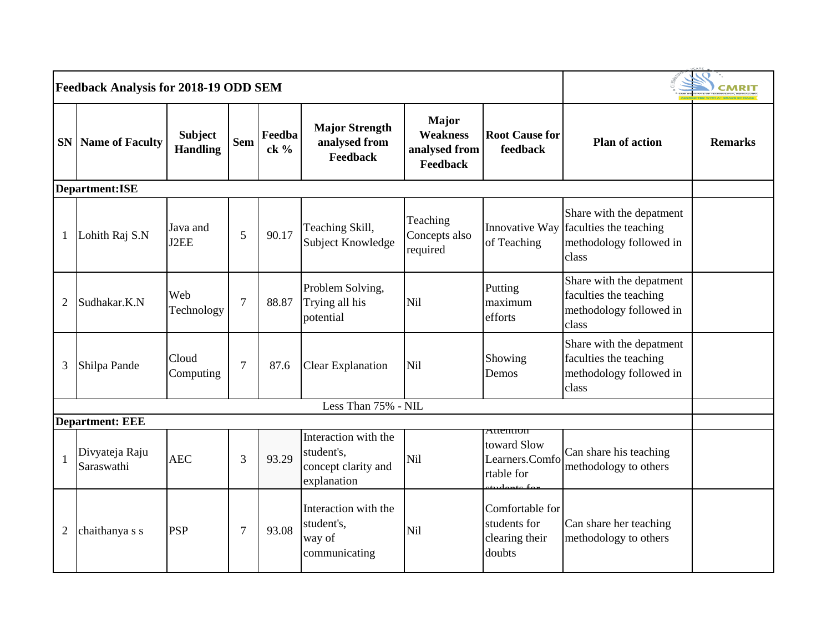|                | Feedback Analysis for 2018-19 ODD SEM |                                   |                |                |                                                                          |                                                       |                                                             |                                                                                                       |                |
|----------------|---------------------------------------|-----------------------------------|----------------|----------------|--------------------------------------------------------------------------|-------------------------------------------------------|-------------------------------------------------------------|-------------------------------------------------------------------------------------------------------|----------------|
|                | <b>SN</b> Name of Faculty             | <b>Subject</b><br><b>Handling</b> | <b>Sem</b>     | Feedba<br>ck % | <b>Major Strength</b><br>analysed from<br><b>Feedback</b>                | Major<br><b>Weakness</b><br>analysed from<br>Feedback | <b>Root Cause for</b><br>feedback                           | <b>Plan of action</b>                                                                                 | <b>Remarks</b> |
|                | <b>Department:ISE</b>                 |                                   |                |                |                                                                          |                                                       |                                                             |                                                                                                       |                |
| 1              | Lohith Raj S.N                        | Java and<br>J2EE                  | 5              | 90.17          | Teaching Skill,<br>Subject Knowledge                                     | Teaching<br>Concepts also<br>required                 | of Teaching                                                 | Share with the depatment<br>Innovative Way faculties the teaching<br>methodology followed in<br>class |                |
| $\overline{2}$ | Sudhakar.K.N                          | Web<br>Technology                 | $\overline{7}$ | 88.87          | Problem Solving,<br>Trying all his<br>potential                          | Nil                                                   | Putting<br>maximum<br>efforts                               | Share with the depatment<br>faculties the teaching<br>methodology followed in<br>class                |                |
| 3              | Shilpa Pande                          | Cloud<br>Computing                | 7              | 87.6           | <b>Clear Explanation</b>                                                 | Nil                                                   | Showing<br>Demos                                            | Share with the depatment<br>faculties the teaching<br>methodology followed in<br>class                |                |
|                |                                       |                                   |                |                | Less Than 75% - NIL                                                      |                                                       |                                                             |                                                                                                       |                |
|                | <b>Department: EEE</b>                |                                   |                |                |                                                                          |                                                       | Auenuon                                                     |                                                                                                       |                |
|                | Divyateja Raju<br>Saraswathi          | <b>AEC</b>                        | 3              | 93.29          | Interaction with the<br>student's,<br>concept clarity and<br>explanation | Nil                                                   | toward Slow<br>Learners.Comfo<br>rtable for                 | Can share his teaching<br>methodology to others                                                       |                |
| $\overline{2}$ | chaithanya s s                        | <b>PSP</b>                        | 7              | 93.08          | Interaction with the<br>student's,<br>way of<br>communicating            | Nil                                                   | Comfortable for<br>students for<br>clearing their<br>doubts | Can share her teaching<br>methodology to others                                                       |                |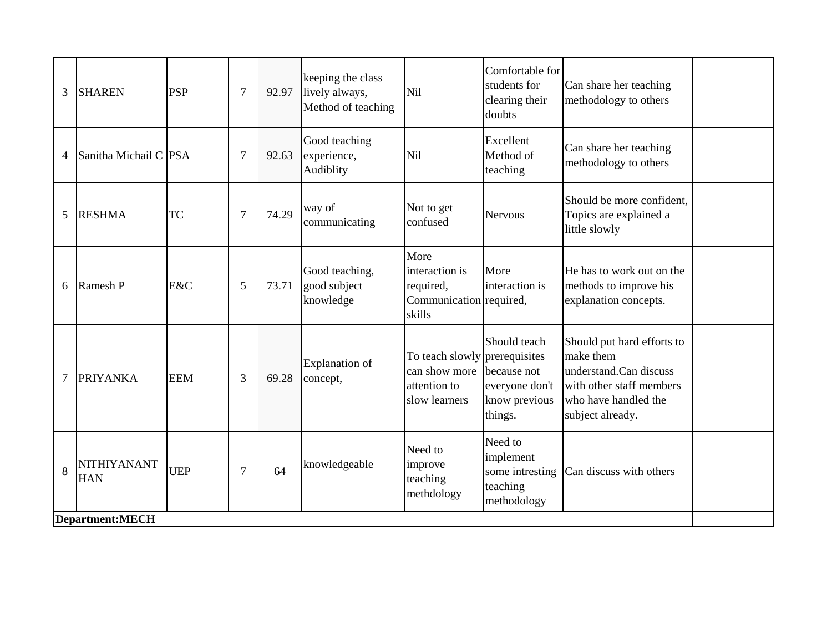| 3              | <b>SHAREN</b>             | <b>PSP</b> | $\overline{7}$ | 92.97 | keeping the class<br>lively always,<br>Method of teaching | Nil                                                                             | Comfortable for<br>students for<br>clearing their<br>doubts               | Can share her teaching<br>methodology to others                                                                                           |  |
|----------------|---------------------------|------------|----------------|-------|-----------------------------------------------------------|---------------------------------------------------------------------------------|---------------------------------------------------------------------------|-------------------------------------------------------------------------------------------------------------------------------------------|--|
| 4              | Sanitha Michail C PSA     |            | $\overline{7}$ | 92.63 | Good teaching<br>experience,<br>Audiblity                 | Nil                                                                             | Excellent<br>Method of<br>teaching                                        | Can share her teaching<br>methodology to others                                                                                           |  |
| 5              | <b>RESHMA</b>             | <b>TC</b>  | $\overline{7}$ | 74.29 | way of<br>communicating                                   | Not to get<br>confused                                                          | <b>Nervous</b>                                                            | Should be more confident,<br>Topics are explained a<br>little slowly                                                                      |  |
| 6              | Ramesh P                  | E&C        | 5              | 73.71 | Good teaching,<br>good subject<br>knowledge               | More<br>interaction is<br>required,<br>Communication required,<br>skills        | More<br>interaction is                                                    | He has to work out on the<br>methods to improve his<br>explanation concepts.                                                              |  |
| $\overline{7}$ | <b>PRIYANKA</b>           | <b>EEM</b> | 3              | 69.28 | <b>Explanation</b> of<br>concept,                         | To teach slowly prerequisites<br>can show more<br>attention to<br>slow learners | Should teach<br>because not<br>everyone don't<br>know previous<br>things. | Should put hard efforts to<br>make them<br>understand.Can discuss<br>with other staff members<br>who have handled the<br>subject already. |  |
| 8              | NITHIYANANT<br><b>HAN</b> | <b>UEP</b> | $\overline{7}$ | 64    | knowledgeable                                             | Need to<br>improve<br>teaching<br>methdology                                    | Need to<br>implement<br>some intresting<br>teaching<br>methodology        | Can discuss with others                                                                                                                   |  |
|                | <b>Department:MECH</b>    |            |                |       |                                                           |                                                                                 |                                                                           |                                                                                                                                           |  |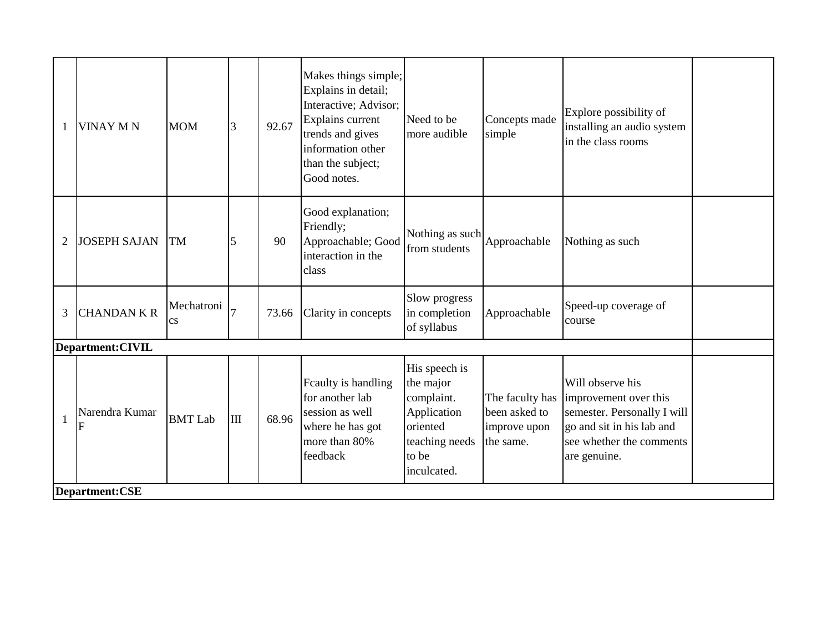|                | <b>VINAY MN</b>                     | <b>MOM</b>        | $\overline{3}$ | 92.67 | Makes things simple;<br>Explains in detail;<br>Interactive; Advisor;<br>Explains current<br>trends and gives<br>information other<br>than the subject;<br>Good notes. | Need to be<br>more audible                                                                                    | Concepts made<br>simple                    | Explore possibility of<br>installing an audio system<br>in the class rooms                                                                                        |  |
|----------------|-------------------------------------|-------------------|----------------|-------|-----------------------------------------------------------------------------------------------------------------------------------------------------------------------|---------------------------------------------------------------------------------------------------------------|--------------------------------------------|-------------------------------------------------------------------------------------------------------------------------------------------------------------------|--|
| $\overline{2}$ | <b>JOSEPH SAJAN</b>                 | <b>TM</b>         | 5              | 90    | Good explanation;<br>Friendly;<br>Approachable; Good<br>interaction in the<br>class                                                                                   | Nothing as such<br>from students                                                                              | Approachable                               | Nothing as such                                                                                                                                                   |  |
| 3              | <b>CHANDAN K R</b>                  | Mechatroni<br>CS. |                | 73.66 | Clarity in concepts                                                                                                                                                   | Slow progress<br>in completion<br>of syllabus                                                                 | Approachable                               | Speed-up coverage of<br>course                                                                                                                                    |  |
|                | Department: CIVIL<br>Narendra Kumar | <b>BMT</b> Lab    | $\mathbf{m}$   | 68.96 | Feaulty is handling<br>for another lab<br>session as well<br>where he has got<br>more than 80%<br>feedback                                                            | His speech is<br>the major<br>complaint.<br>Application<br>oriented<br>teaching needs<br>to be<br>inculcated. | been asked to<br>improve upon<br>the same. | Will observe his<br>The faculty has improvement over this<br>semester. Personally I will<br>go and sit in his lab and<br>see whether the comments<br>are genuine. |  |
|                | Department:CSE                      |                   |                |       |                                                                                                                                                                       |                                                                                                               |                                            |                                                                                                                                                                   |  |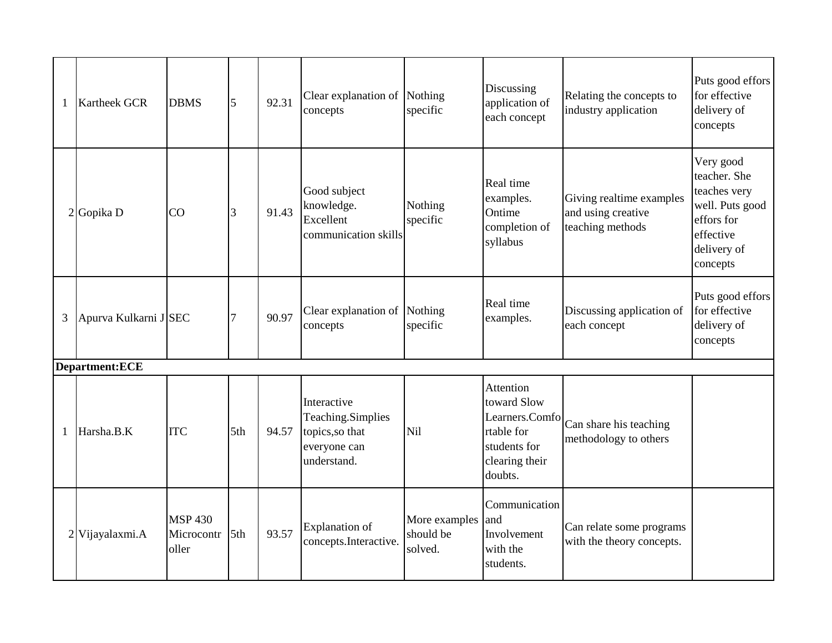| 1 | <b>Kartheek GCR</b>   | <b>DBMS</b>                           | 5   | 92.31 | Clear explanation of Nothing<br>concepts                                           | specific                              | Discussing<br>application of<br>each concept                                                                 | Relating the concepts to<br>industry application                   | Puts good effors<br>for effective<br>delivery of<br>concepts                                                       |
|---|-----------------------|---------------------------------------|-----|-------|------------------------------------------------------------------------------------|---------------------------------------|--------------------------------------------------------------------------------------------------------------|--------------------------------------------------------------------|--------------------------------------------------------------------------------------------------------------------|
|   | $2$ Gopika D          | <b>CO</b>                             | 3   | 91.43 | Good subject<br>knowledge.<br>Excellent<br>communication skills                    | Nothing<br>specific                   | Real time<br>examples.<br>Ontime<br>completion of<br>syllabus                                                | Giving realtime examples<br>and using creative<br>teaching methods | Very good<br>teacher. She<br>teaches very<br>well. Puts good<br>effors for<br>effective<br>delivery of<br>concepts |
| 3 | Apurva Kulkarni J SEC |                                       |     | 90.97 | Clear explanation of Nothing<br>concepts                                           | specific                              | Real time<br>examples.                                                                                       | Discussing application of<br>each concept                          | Puts good effors<br>for effective<br>delivery of<br>concepts                                                       |
|   | Department:ECE        |                                       |     |       |                                                                                    |                                       |                                                                                                              |                                                                    |                                                                                                                    |
| 1 | Harsha.B.K            | <b>ITC</b>                            | 5th | 94.57 | Interactive<br>Teaching.Simplies<br>topics, so that<br>everyone can<br>understand. | Nil                                   | <b>Attention</b><br>toward Slow<br>Learners.Comfo<br>rtable for<br>students for<br>clearing their<br>doubts. | Can share his teaching<br>methodology to others                    |                                                                                                                    |
|   | 2 Vijayalaxmi.A       | <b>MSP 430</b><br>Microcontr<br>oller | 5th | 93.57 | <b>Explanation</b> of<br>concepts.Interactive.                                     | More examples<br>should be<br>solved. | Communication<br>and<br>Involvement<br>with the<br>students.                                                 | Can relate some programs<br>with the theory concepts.              |                                                                                                                    |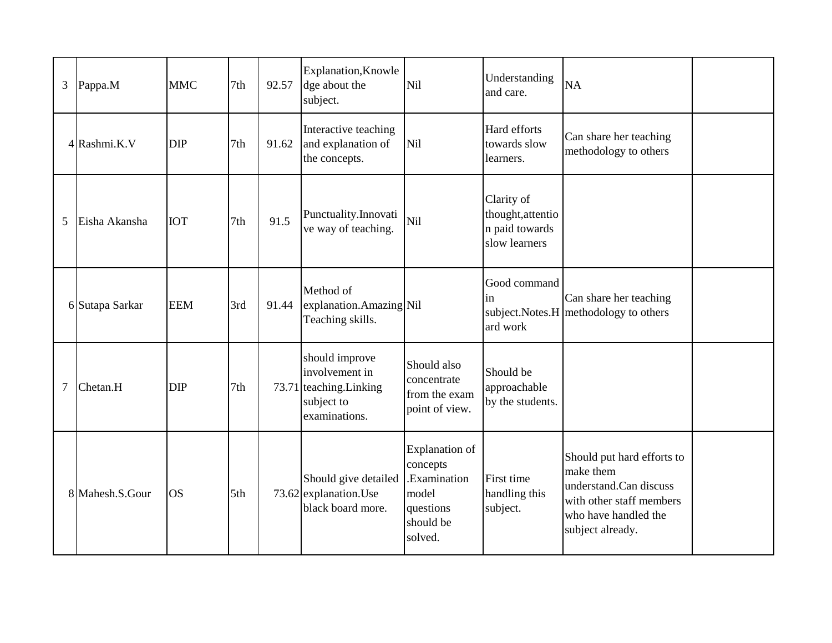| 3              | Pappa.M         | <b>MMC</b> | 7th             | 92.57 | <b>Explanation, Knowle</b><br>dge about the<br>subject.                                    | Nil                                                                                             | Understanding<br>and care.                                         | <b>NA</b>                                                                                                                                 |  |
|----------------|-----------------|------------|-----------------|-------|--------------------------------------------------------------------------------------------|-------------------------------------------------------------------------------------------------|--------------------------------------------------------------------|-------------------------------------------------------------------------------------------------------------------------------------------|--|
|                | 4 Rashmi.K.V    | <b>DIP</b> | 7th             | 91.62 | Interactive teaching<br>and explanation of<br>the concepts.                                | Nil                                                                                             | Hard efforts<br>towards slow<br>learners.                          | Can share her teaching<br>methodology to others                                                                                           |  |
| 5              | Eisha Akansha   | <b>IOT</b> | 7th             | 91.5  | Punctuality.Innovati<br>ve way of teaching.                                                | Nil                                                                                             | Clarity of<br>thought, attentio<br>n paid towards<br>slow learners |                                                                                                                                           |  |
|                | 6 Sutapa Sarkar | <b>EEM</b> | 3rd             | 91.44 | Method of<br>explanation.Amazing Nil<br>Teaching skills.                                   |                                                                                                 | Good command<br>1n<br>ard work                                     | Can share her teaching<br>subject. Notes. H methodology to others                                                                         |  |
| $\overline{7}$ | Chetan.H        | <b>DIP</b> | 7th             |       | should improve<br>involvement in<br>73.71 teaching. Linking<br>subject to<br>examinations. | Should also<br>concentrate<br>from the exam<br>point of view.                                   | Should be<br>approachable<br>by the students.                      |                                                                                                                                           |  |
|                | 8 Mahesh.S.Gour | <b>OS</b>  | 5 <sup>th</sup> |       | Should give detailed<br>73.62 explanation. Use<br>black board more.                        | <b>Explanation</b> of<br>concepts<br>.Examination<br>model<br>questions<br>should be<br>solved. | First time<br>handling this<br>subject.                            | Should put hard efforts to<br>make them<br>understand.Can discuss<br>with other staff members<br>who have handled the<br>subject already. |  |